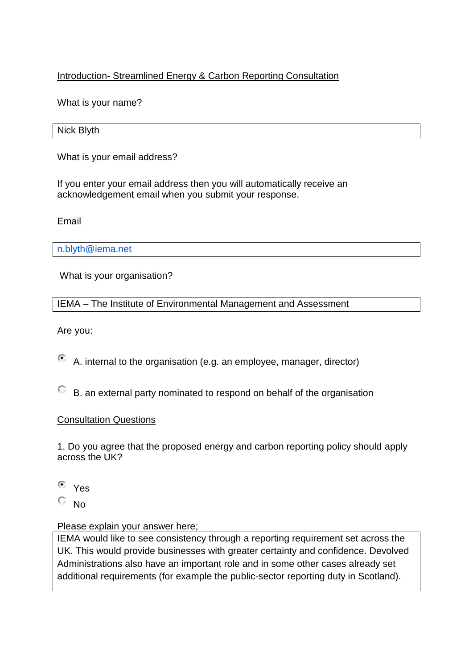## Introduction- Streamlined Energy & Carbon Reporting Consultation

What is your name?

Nick Blyth

What is your email address?

If you enter your email address then you will automatically receive an acknowledgement email when you submit your response.

Email

[n.blyth@iema.net](mailto:n.blyth@iema.net)

What is your organisation?

IEMA – The Institute of Environmental Management and Assessment

Are you:

 $\odot$ A. internal to the organisation (e.g. an employee, manager, director)

B. an external party nominated to respond on behalf of the organisation

### Consultation Questions

1. Do you agree that the proposed energy and carbon reporting policy should apply across the UK?

- $\left( \bullet \right)$ Yes
- 0. No

### Please explain your answer here;

IEMA would like to see consistency through a reporting requirement set across the UK. This would provide businesses with greater certainty and confidence. Devolved Administrations also have an important role and in some other cases already set additional requirements (for example the public-sector reporting duty in Scotland).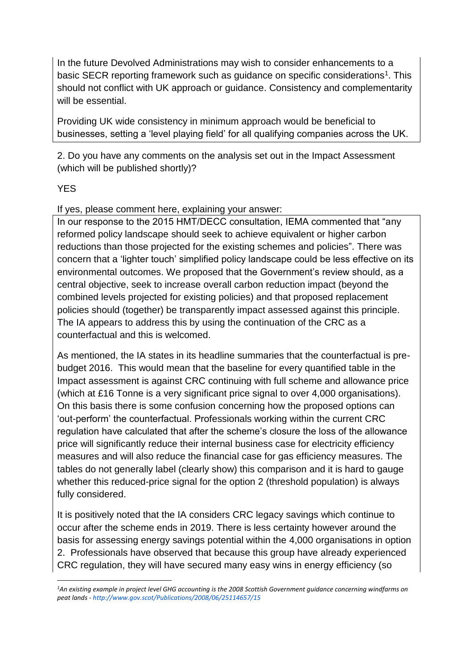In the future Devolved Administrations may wish to consider enhancements to a basic SECR reporting framework such as guidance on specific considerations<sup>1</sup>. This should not conflict with UK approach or guidance. Consistency and complementarity will be essential.

Providing UK wide consistency in minimum approach would be beneficial to businesses, setting a 'level playing field' for all qualifying companies across the UK.

2. Do you have any comments on the analysis set out in the Impact Assessment (which will be published shortly)?

# YES

1

If yes, please comment here, explaining your answer:

In our response to the 2015 HMT/DECC consultation, IEMA commented that "any reformed policy landscape should seek to achieve equivalent or higher carbon reductions than those projected for the existing schemes and policies". There was concern that a 'lighter touch' simplified policy landscape could be less effective on its environmental outcomes. We proposed that the Government's review should, as a central objective, seek to increase overall carbon reduction impact (beyond the combined levels projected for existing policies) and that proposed replacement policies should (together) be transparently impact assessed against this principle. The IA appears to address this by using the continuation of the CRC as a counterfactual and this is welcomed.

As mentioned, the IA states in its headline summaries that the counterfactual is prebudget 2016. This would mean that the baseline for every quantified table in the Impact assessment is against CRC continuing with full scheme and allowance price (which at £16 Tonne is a very significant price signal to over 4,000 organisations). On this basis there is some confusion concerning how the proposed options can 'out-perform' the counterfactual. Professionals working within the current CRC regulation have calculated that after the scheme's closure the loss of the allowance price will significantly reduce their internal business case for electricity efficiency measures and will also reduce the financial case for gas efficiency measures. The tables do not generally label (clearly show) this comparison and it is hard to gauge whether this reduced-price signal for the option 2 (threshold population) is always fully considered.

It is positively noted that the IA considers CRC legacy savings which continue to occur after the scheme ends in 2019. There is less certainty however around the basis for assessing energy savings potential within the 4,000 organisations in option 2. Professionals have observed that because this group have already experienced CRC regulation, they will have secured many easy wins in energy efficiency (so

*<sup>1</sup>An existing example in project level GHG accounting is the 2008 Scottish Government guidance concerning windfarms on peat lands - <http://www.gov.scot/Publications/2008/06/25114657/15>*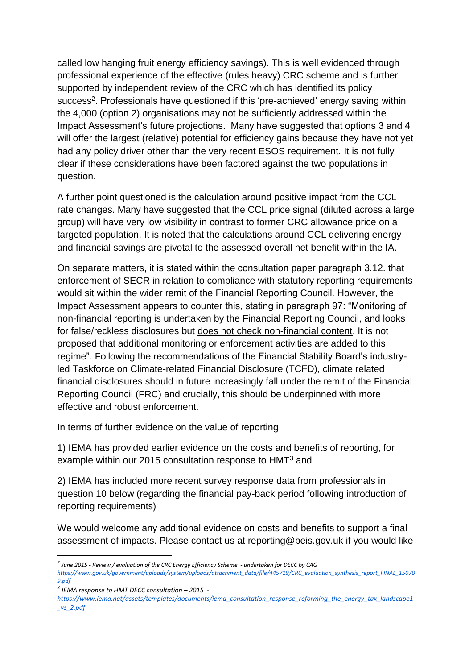called low hanging fruit energy efficiency savings). This is well evidenced through professional experience of the effective (rules heavy) CRC scheme and is further supported by independent review of the CRC which has identified its policy success<sup>2</sup>. Professionals have questioned if this 'pre-achieved' energy saving within the 4,000 (option 2) organisations may not be sufficiently addressed within the Impact Assessment's future projections. Many have suggested that options 3 and 4 will offer the largest (relative) potential for efficiency gains because they have not yet had any policy driver other than the very recent ESOS requirement. It is not fully clear if these considerations have been factored against the two populations in question.

A further point questioned is the calculation around positive impact from the CCL rate changes. Many have suggested that the CCL price signal (diluted across a large group) will have very low visibility in contrast to former CRC allowance price on a targeted population. It is noted that the calculations around CCL delivering energy and financial savings are pivotal to the assessed overall net benefit within the IA.

On separate matters, it is stated within the consultation paper paragraph 3.12. that enforcement of SECR in relation to compliance with statutory reporting requirements would sit within the wider remit of the Financial Reporting Council. However, the Impact Assessment appears to counter this, stating in paragraph 97: "Monitoring of non-financial reporting is undertaken by the Financial Reporting Council, and looks for false/reckless disclosures but does not check non-financial content. It is not proposed that additional monitoring or enforcement activities are added to this regime". Following the recommendations of the Financial Stability Board's industryled Taskforce on Climate-related Financial Disclosure (TCFD), climate related financial disclosures should in future increasingly fall under the remit of the Financial Reporting Council (FRC) and crucially, this should be underpinned with more effective and robust enforcement.

In terms of further evidence on the value of reporting

1) IEMA has provided earlier evidence on the costs and benefits of reporting, for example within our 2015 consultation response to HMT<sup>3</sup> and

2) IEMA has included more recent survey response data from professionals in question 10 below (regarding the financial pay-back period following introduction of reporting requirements)

We would welcome any additional evidence on costs and benefits to support a final assessment of impacts. Please contact us at reporting@beis.gov.uk if you would like

*<sup>2</sup> June 2015 - Review / evaluation of the CRC Energy Efficiency Scheme - undertaken for DECC by CAG* 

*[https://www.gov.uk/government/uploads/system/uploads/attachment\\_data/file/445719/CRC\\_evaluation\\_synthesis\\_report\\_FINAL\\_15070](https://www.gov.uk/government/uploads/system/uploads/attachment_data/file/445719/CRC_evaluation_synthesis_report_FINAL_150709.pdf) [9.pdf](https://www.gov.uk/government/uploads/system/uploads/attachment_data/file/445719/CRC_evaluation_synthesis_report_FINAL_150709.pdf)*

*<sup>3</sup> IEMA response to HMT DECC consultation – 2015 -*

*[https://www.iema.net/assets/templates/documents/iema\\_consultation\\_response\\_reforming\\_the\\_energy\\_tax\\_landscape1](https://www.iema.net/assets/templates/documents/iema_consultation_response_reforming_the_energy_tax_landscape1_vs_2.pdf) [\\_vs\\_2.pdf](https://www.iema.net/assets/templates/documents/iema_consultation_response_reforming_the_energy_tax_landscape1_vs_2.pdf)*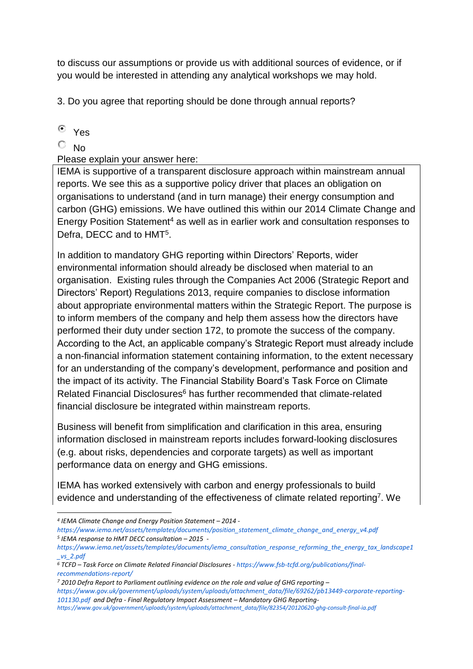to discuss our assumptions or provide us with additional sources of evidence, or if you would be interested in attending any analytical workshops we may hold.

3. Do you agree that reporting should be done through annual reports?

Yes

 $\overline{\circ}$  No

1

Please explain your answer here:

IEMA is supportive of a transparent disclosure approach within mainstream annual reports. We see this as a supportive policy driver that places an obligation on organisations to understand (and in turn manage) their energy consumption and carbon (GHG) emissions. We have outlined this within our 2014 Climate Change and Energy Position Statement<sup>4</sup> as well as in earlier work and consultation responses to Defra, DECC and to HMT<sup>5</sup>.

In addition to mandatory GHG reporting within Directors' Reports, wider environmental information should already be disclosed when material to an organisation. Existing rules through the Companies Act 2006 (Strategic Report and Directors' Report) Regulations 2013, require companies to disclose information about appropriate environmental matters within the Strategic Report. The purpose is to inform members of the company and help them assess how the directors have performed their duty under section 172, to promote the success of the company. According to the Act, an applicable company's Strategic Report must already include a non-financial information statement containing information, to the extent necessary for an understanding of the company's development, performance and position and the impact of its activity. The Financial Stability Board's Task Force on Climate Related Financial Disclosures<sup>6</sup> has further recommended that climate-related financial disclosure be integrated within mainstream reports.

Business will benefit from simplification and clarification in this area, ensuring information disclosed in mainstream reports includes forward-looking disclosures (e.g. about risks, dependencies and corporate targets) as well as important performance data on energy and GHG emissions.

IEMA has worked extensively with carbon and energy professionals to build evidence and understanding of the effectiveness of climate related reporting<sup>7</sup>. We

*[https://www.gov.uk/government/uploads/system/uploads/attachment\\_data/file/69262/pb13449-corporate-reporting-](https://www.gov.uk/government/uploads/system/uploads/attachment_data/file/69262/pb13449-corporate-reporting-101130.pdf)[101130.pdf](https://www.gov.uk/government/uploads/system/uploads/attachment_data/file/69262/pb13449-corporate-reporting-101130.pdf) and Defra - Final Regulatory Impact Assessment – Mandatory GHG Reporting-*

*<sup>4</sup> IEMA Climate Change and Energy Position Statement – 2014 -*

*[https://www.iema.net/assets/templates/documents/position\\_statement\\_climate\\_change\\_and\\_energy\\_v4.pdf](https://www.iema.net/assets/templates/documents/position_statement_climate_change_and_energy_v4.pdf) 5 IEMA response to HMT DECC consultation – 2015 -*

*[https://www.iema.net/assets/templates/documents/iema\\_consultation\\_response\\_reforming\\_the\\_energy\\_tax\\_landscape1](https://www.iema.net/assets/templates/documents/iema_consultation_response_reforming_the_energy_tax_landscape1_vs_2.pdf) [\\_vs\\_2.pdf](https://www.iema.net/assets/templates/documents/iema_consultation_response_reforming_the_energy_tax_landscape1_vs_2.pdf)*

*<sup>6</sup> TCFD – Task Force on Climate Related Financial Disclosures - [https://www.fsb-tcfd.org/publications/final](https://www.fsb-tcfd.org/publications/final-recommendations-report/)[recommendations-report/](https://www.fsb-tcfd.org/publications/final-recommendations-report/)*

*<sup>7</sup> 2010 Defra Report to Parliament outlining evidence on the role and value of GHG reporting –*

*[https://www.gov.uk/government/uploads/system/uploads/attachment\\_data/file/82354/20120620-ghg-consult-final-ia.pdf](https://www.gov.uk/government/uploads/system/uploads/attachment_data/file/82354/20120620-ghg-consult-final-ia.pdf)*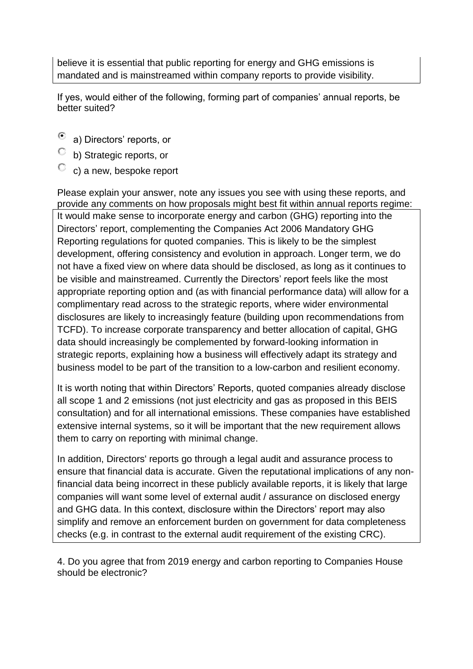believe it is essential that public reporting for energy and GHG emissions is mandated and is mainstreamed within company reports to provide visibility.

If yes, would either of the following, forming part of companies' annual reports, be better suited?

- a) Directors' reports, or
- C b) Strategic reports, or
- $\mathbb{C}$  c) a new, bespoke report

Please explain your answer, note any issues you see with using these reports, and provide any comments on how proposals might best fit within annual reports regime: It would make sense to incorporate energy and carbon (GHG) reporting into the Directors' report, complementing the Companies Act 2006 Mandatory GHG Reporting regulations for quoted companies. This is likely to be the simplest development, offering consistency and evolution in approach. Longer term, we do not have a fixed view on where data should be disclosed, as long as it continues to be visible and mainstreamed. Currently the Directors' report feels like the most appropriate reporting option and (as with financial performance data) will allow for a complimentary read across to the strategic reports, where wider environmental disclosures are likely to increasingly feature (building upon recommendations from TCFD). To increase corporate transparency and better allocation of capital, GHG data should increasingly be complemented by forward-looking information in strategic reports, explaining how a business will effectively adapt its strategy and business model to be part of the transition to a low-carbon and resilient economy.

It is worth noting that within Directors' Reports, quoted companies already disclose all scope 1 and 2 emissions (not just electricity and gas as proposed in this BEIS consultation) and for all international emissions. These companies have established extensive internal systems, so it will be important that the new requirement allows them to carry on reporting with minimal change.

In addition, Directors' reports go through a legal audit and assurance process to ensure that financial data is accurate. Given the reputational implications of any nonfinancial data being incorrect in these publicly available reports, it is likely that large companies will want some level of external audit / assurance on disclosed energy and GHG data. In this context, disclosure within the Directors' report may also simplify and remove an enforcement burden on government for data completeness checks (e.g. in contrast to the external audit requirement of the existing CRC).

4. Do you agree that from 2019 energy and carbon reporting to Companies House should be electronic?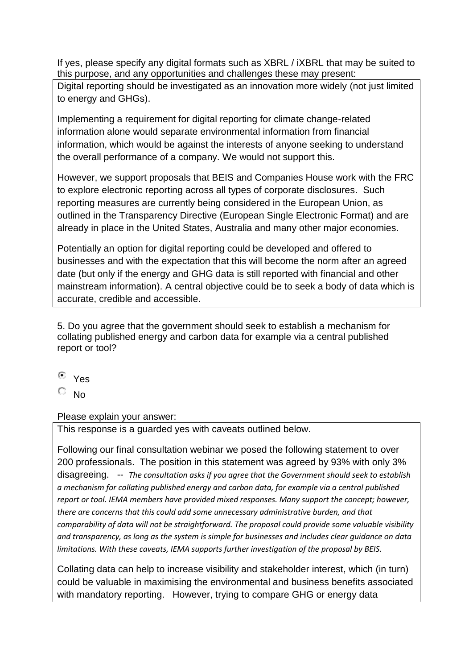If yes, please specify any digital formats such as XBRL / iXBRL that may be suited to this purpose, and any opportunities and challenges these may present:

Digital reporting should be investigated as an innovation more widely (not just limited to energy and GHGs).

Implementing a requirement for digital reporting for climate change-related information alone would separate environmental information from financial information, which would be against the interests of anyone seeking to understand the overall performance of a company. We would not support this.

However, we support proposals that BEIS and Companies House work with the FRC to explore electronic reporting across all types of corporate disclosures. Such reporting measures are currently being considered in the European Union, as outlined in the Transparency Directive (European Single Electronic Format) and are already in place in the United States, Australia and many other major economies.

Potentially an option for digital reporting could be developed and offered to businesses and with the expectation that this will become the norm after an agreed date (but only if the energy and GHG data is still reported with financial and other mainstream information). A central objective could be to seek a body of data which is accurate, credible and accessible.

5. Do you agree that the government should seek to establish a mechanism for collating published energy and carbon data for example via a central published report or tool?

Yes

No

Please explain your answer:

This response is a guarded yes with caveats outlined below.

Following our final consultation webinar we posed the following statement to over 200 professionals. The position in this statement was agreed by 93% with only 3% disagreeing. -- *The consultation asks if you agree that the Government should seek to establish a mechanism for collating published energy and carbon data, for example via a central published report or tool. IEMA members have provided mixed responses. Many support the concept; however, there are concerns that this could add some unnecessary administrative burden, and that comparability of data will not be straightforward. The proposal could provide some valuable visibility and transparency, as long as the system is simple for businesses and includes clear guidance on data limitations. With these caveats, IEMA supports further investigation of the proposal by BEIS.* 

Collating data can help to increase visibility and stakeholder interest, which (in turn) could be valuable in maximising the environmental and business benefits associated with mandatory reporting. However, trying to compare GHG or energy data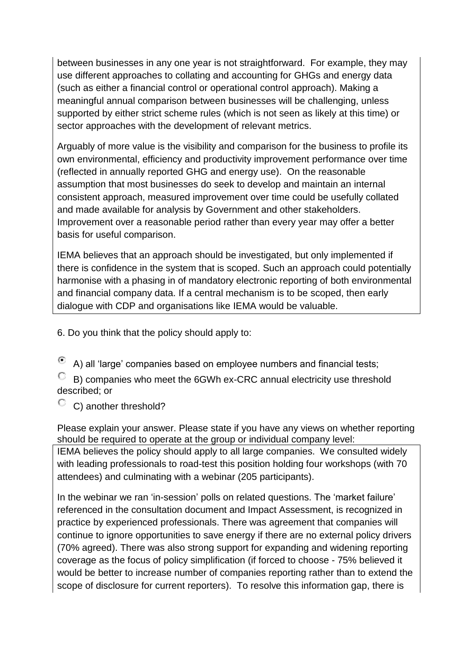between businesses in any one year is not straightforward. For example, they may use different approaches to collating and accounting for GHGs and energy data (such as either a financial control or operational control approach). Making a meaningful annual comparison between businesses will be challenging, unless supported by either strict scheme rules (which is not seen as likely at this time) or sector approaches with the development of relevant metrics.

Arguably of more value is the visibility and comparison for the business to profile its own environmental, efficiency and productivity improvement performance over time (reflected in annually reported GHG and energy use). On the reasonable assumption that most businesses do seek to develop and maintain an internal consistent approach, measured improvement over time could be usefully collated and made available for analysis by Government and other stakeholders. Improvement over a reasonable period rather than every year may offer a better basis for useful comparison.

IEMA believes that an approach should be investigated, but only implemented if there is confidence in the system that is scoped. Such an approach could potentially harmonise with a phasing in of mandatory electronic reporting of both environmental and financial company data. If a central mechanism is to be scoped, then early dialogue with CDP and organisations like IEMA would be valuable.

6. Do you think that the policy should apply to:

⊙ A) all 'large' companies based on employee numbers and financial tests;

B) companies who meet the 6GWh ex-CRC annual electricity use threshold described; or

 $\degree$  C) another threshold?

Please explain your answer. Please state if you have any views on whether reporting should be required to operate at the group or individual company level: IEMA believes the policy should apply to all large companies. We consulted widely with leading professionals to road-test this position holding four workshops (with 70 attendees) and culminating with a webinar (205 participants).

In the webinar we ran 'in-session' polls on related questions. The 'market failure' referenced in the consultation document and Impact Assessment, is recognized in practice by experienced professionals. There was agreement that companies will continue to ignore opportunities to save energy if there are no external policy drivers (70% agreed). There was also strong support for expanding and widening reporting coverage as the focus of policy simplification (if forced to choose - 75% believed it would be better to increase number of companies reporting rather than to extend the scope of disclosure for current reporters). To resolve this information gap, there is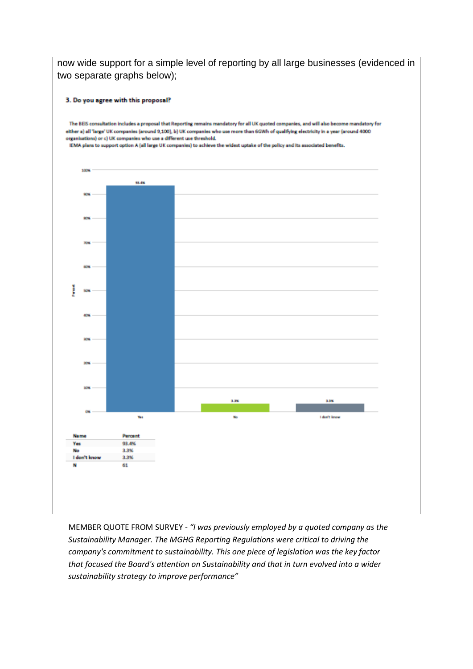now wide support for a simple level of reporting by all large businesses (evidenced in two separate graphs below);

#### 3. Do you agree with this proposal?

The BEIS consultation includes a proposal that Reporting remains mandatory for all UK quoted companies, and will also become mandatory for either a) all 'large' UK companies (around 9,100), b) UK companies who use more than 6GWh of qualifying electricity in a year (around 4000 organisations) or c) UK companies who use a different use threshold. IEMA plans to support option A (all large UK companies) to achieve the widest uptake of the policy and its associated benefits. 1009  $\mathbf{u}$ **Lin A.RM** y. **don't know** Percent 93.4% Yes 3.3% No Ido 3.3% 61 M

MEMBER QUOTE FROM SURVEY - *"I was previously employed by a quoted company as the Sustainability Manager. The MGHG Reporting Regulations were critical to driving the company's commitment to sustainability. This one piece of legislation was the key factor that focused the Board's attention on Sustainability and that in turn evolved into a wider sustainability strategy to improve performance"*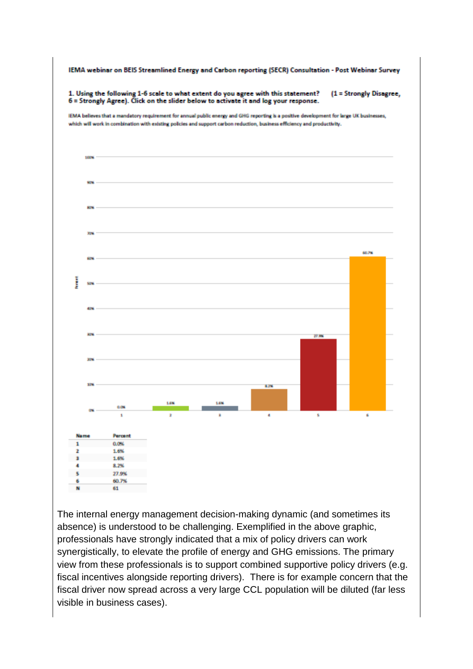

The internal energy management decision-making dynamic (and sometimes its absence) is understood to be challenging. Exemplified in the above graphic, professionals have strongly indicated that a mix of policy drivers can work synergistically, to elevate the profile of energy and GHG emissions. The primary view from these professionals is to support combined supportive policy drivers (e.g. fiscal incentives alongside reporting drivers). There is for example concern that the fiscal driver now spread across a very large CCL population will be diluted (far less visible in business cases).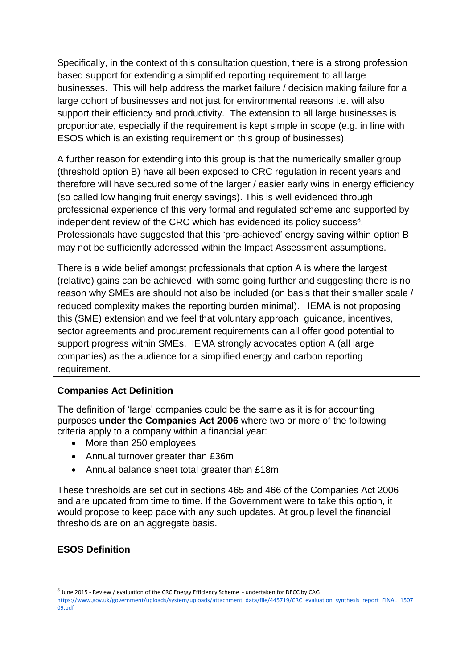Specifically, in the context of this consultation question, there is a strong profession based support for extending a simplified reporting requirement to all large businesses. This will help address the market failure / decision making failure for a large cohort of businesses and not just for environmental reasons i.e. will also support their efficiency and productivity. The extension to all large businesses is proportionate, especially if the requirement is kept simple in scope (e.g. in line with ESOS which is an existing requirement on this group of businesses).

A further reason for extending into this group is that the numerically smaller group (threshold option B) have all been exposed to CRC regulation in recent years and therefore will have secured some of the larger / easier early wins in energy efficiency (so called low hanging fruit energy savings). This is well evidenced through professional experience of this very formal and regulated scheme and supported by independent review of the CRC which has evidenced its policy success<sup>8</sup>. Professionals have suggested that this 'pre-achieved' energy saving within option B may not be sufficiently addressed within the Impact Assessment assumptions.

There is a wide belief amongst professionals that option A is where the largest (relative) gains can be achieved, with some going further and suggesting there is no reason why SMEs are should not also be included (on basis that their smaller scale / reduced complexity makes the reporting burden minimal). IEMA is not proposing this (SME) extension and we feel that voluntary approach, guidance, incentives, sector agreements and procurement requirements can all offer good potential to support progress within SMEs. IEMA strongly advocates option A (all large companies) as the audience for a simplified energy and carbon reporting requirement.

### **Companies Act Definition**

The definition of 'large' companies could be the same as it is for accounting purposes **under the Companies Act 2006** where two or more of the following criteria apply to a company within a financial year:

- More than 250 employees
- Annual turnover greater than £36m
- Annual balance sheet total greater than £18m

These thresholds are set out in sections 465 and 466 of the Companies Act 2006 and are updated from time to time. If the Government were to take this option, it would propose to keep pace with any such updates. At group level the financial thresholds are on an aggregate basis.

### **ESOS Definition**

<sup>&</sup>lt;sup>8</sup> June 2015 - Review / evaluation of the CRC Energy Efficiency Scheme - undertaken for DECC by CAG [https://www.gov.uk/government/uploads/system/uploads/attachment\\_data/file/445719/CRC\\_evaluation\\_synthesis\\_report\\_FINAL\\_1507](https://www.gov.uk/government/uploads/system/uploads/attachment_data/file/445719/CRC_evaluation_synthesis_report_FINAL_150709.pdf) [09.pdf](https://www.gov.uk/government/uploads/system/uploads/attachment_data/file/445719/CRC_evaluation_synthesis_report_FINAL_150709.pdf)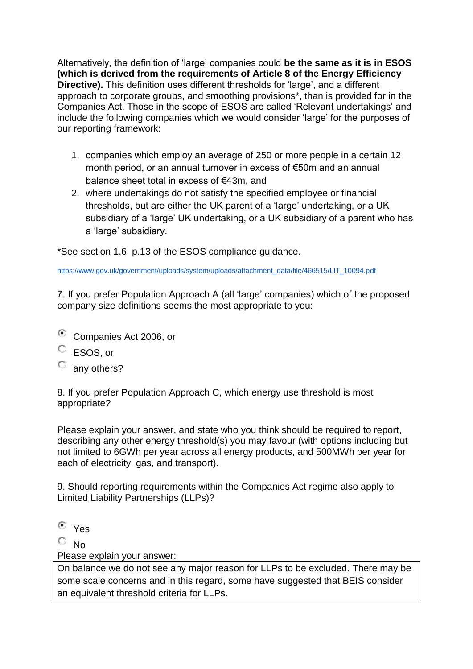Alternatively, the definition of 'large' companies could **be the same as it is in ESOS (which is derived from the requirements of Article 8 of the Energy Efficiency Directive).** This definition uses different thresholds for 'large', and a different approach to corporate groups, and smoothing provisions\*, than is provided for in the Companies Act. Those in the scope of ESOS are called 'Relevant undertakings' and include the following companies which we would consider 'large' for the purposes of our reporting framework:

- 1. companies which employ an average of 250 or more people in a certain 12 month period, or an annual turnover in excess of €50m and an annual balance sheet total in excess of €43m, and
- 2. where undertakings do not satisfy the specified employee or financial thresholds, but are either the UK parent of a 'large' undertaking, or a UK subsidiary of a 'large' UK undertaking, or a UK subsidiary of a parent who has a 'large' subsidiary.

\*See section 1.6, p.13 of the ESOS compliance guidance.

[https://www.gov.uk/government/uploads/system/uploads/attachment\\_data/file/466515/LIT\\_10094.pdf](https://www.gov.uk/government/uploads/system/uploads/attachment_data/file/466515/LIT_10094.pdf)

7. If you prefer Population Approach A (all 'large' companies) which of the proposed company size definitions seems the most appropriate to you:

- Companies Act 2006, or
- ESOS, or
- О. any others?

8. If you prefer Population Approach C, which energy use threshold is most appropriate?

Please explain your answer, and state who you think should be required to report, describing any other energy threshold(s) you may favour (with options including but not limited to 6GWh per year across all energy products, and 500MWh per year for each of electricity, gas, and transport).

9. Should reporting requirements within the Companies Act regime also apply to Limited Liability Partnerships (LLPs)?

Yes

 $\overline{\mathbb{C}}$  No.

Please explain your answer:

On balance we do not see any major reason for LLPs to be excluded. There may be some scale concerns and in this regard, some have suggested that BEIS consider an equivalent threshold criteria for LLPs.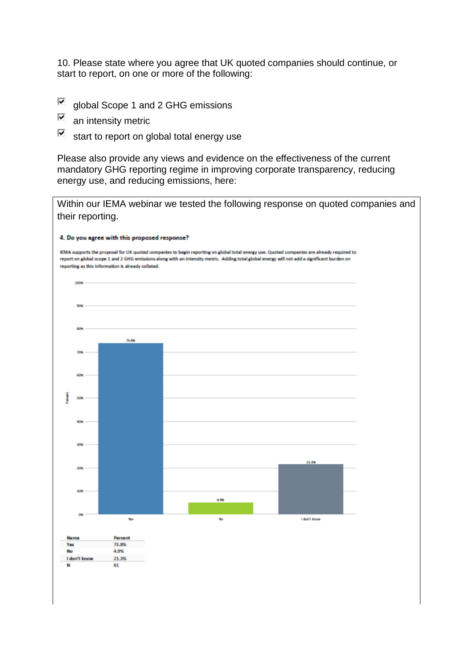10. Please state where you agree that UK quoted companies should continue, or start to report, on one or more of the following:

- $\overline{\blacktriangledown}$ global Scope 1 and 2 GHG emissions
- $\overline{\blacktriangledown}$ an intensity metric
- ⊽ start to report on global total energy use

Please also provide any views and evidence on the effectiveness of the current mandatory GHG reporting regime in improving corporate transparency, reducing energy use, and reducing emissions, here:

Within our IEMA webinar we tested the following response on quoted companies and their reporting. 4. Do you agree with this proposed response? IEMA supports the proposal for UK quoted companies to begin reporting on global total energy use. Quoted companies are already required to report on global scope 1 and 2 GHG emissions along with an intensity metric. Adding total global energy will not add a significant burden on reporting as this information is already collated. **TOON** 24, 9% 35.94 cm. .<br>Tel I don't know Percent 73.8% Yes 4.9% No 1 de 21.9% er k 61  $\mathbf{r}$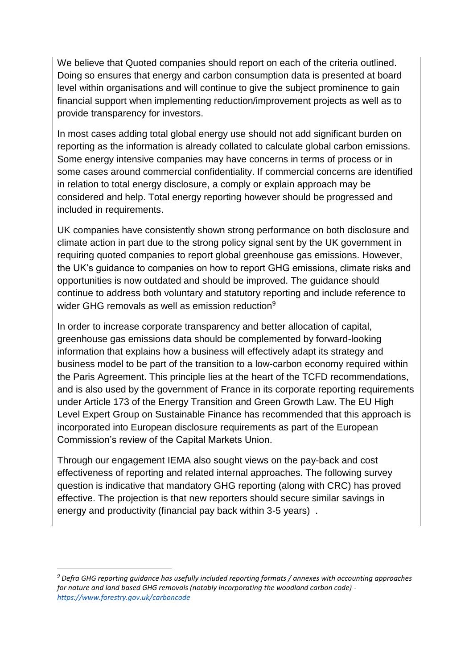We believe that Quoted companies should report on each of the criteria outlined. Doing so ensures that energy and carbon consumption data is presented at board level within organisations and will continue to give the subject prominence to gain financial support when implementing reduction/improvement projects as well as to provide transparency for investors.

In most cases adding total global energy use should not add significant burden on reporting as the information is already collated to calculate global carbon emissions. Some energy intensive companies may have concerns in terms of process or in some cases around commercial confidentiality. If commercial concerns are identified in relation to total energy disclosure, a comply or explain approach may be considered and help. Total energy reporting however should be progressed and included in requirements.

UK companies have consistently shown strong performance on both disclosure and climate action in part due to the strong policy signal sent by the UK government in requiring quoted companies to report global greenhouse gas emissions. However, the UK's guidance to companies on how to report GHG emissions, climate risks and opportunities is now outdated and should be improved. The guidance should continue to address both voluntary and statutory reporting and include reference to wider GHG removals as well as emission reduction<sup>9</sup>

In order to increase corporate transparency and better allocation of capital, greenhouse gas emissions data should be complemented by forward-looking information that explains how a business will effectively adapt its strategy and business model to be part of the transition to a low-carbon economy required within the Paris Agreement. This principle lies at the heart of the TCFD recommendations, and is also used by the government of France in its corporate reporting requirements under Article 173 of the Energy Transition and Green Growth Law. The EU High Level Expert Group on Sustainable Finance has recommended that this approach is incorporated into European disclosure requirements as part of the European Commission's review of the Capital Markets Union.

Through our engagement IEMA also sought views on the pay-back and cost effectiveness of reporting and related internal approaches. The following survey question is indicative that mandatory GHG reporting (along with CRC) has proved effective. The projection is that new reporters should secure similar savings in energy and productivity (financial pay back within 3-5 years) .

*<sup>9</sup> Defra GHG reporting guidance has usefully included reporting formats / annexes with accounting approaches for nature and land based GHG removals (notably incorporating the woodland carbon code) <https://www.forestry.gov.uk/carboncode>*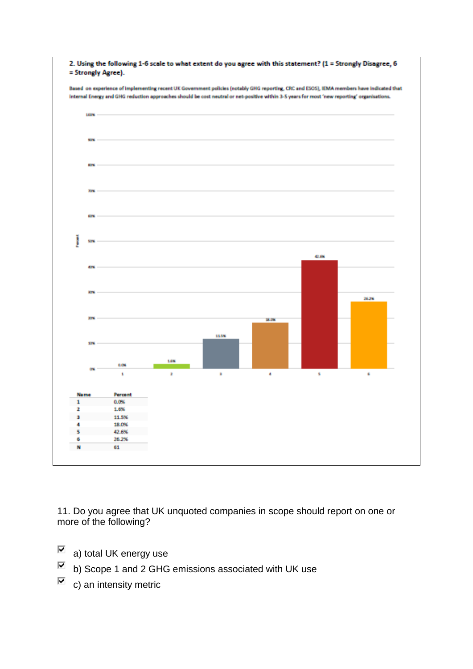

11. Do you agree that UK unquoted companies in scope should report on one or more of the following?

- $\overline{\phantom{a}}$  a) total UK energy use
- $\overline{\blacktriangledown}$ b) Scope 1 and 2 GHG emissions associated with UK use
- ⊽ c) an intensity metric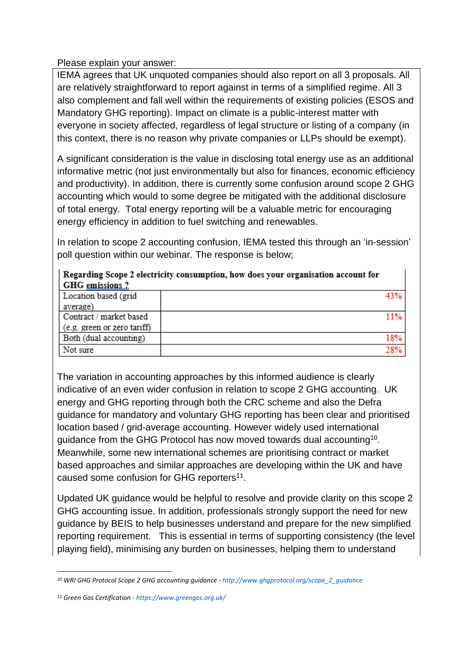Please explain your answer:

IEMA agrees that UK unquoted companies should also report on all 3 proposals. All are relatively straightforward to report against in terms of a simplified regime. All 3 also complement and fall well within the requirements of existing policies (ESOS and Mandatory GHG reporting). Impact on climate is a public-interest matter with everyone in society affected, regardless of legal structure or listing of a company (in this context, there is no reason why private companies or LLPs should be exempt).

A significant consideration is the value in disclosing total energy use as an additional informative metric (not just environmentally but also for finances, economic efficiency and productivity). In addition, there is currently some confusion around scope 2 GHG accounting which would to some degree be mitigated with the additional disclosure of total energy. Total energy reporting will be a valuable metric for encouraging energy efficiency in addition to fuel switching and renewables.

In relation to scope 2 accounting confusion, IEMA tested this through an 'in-session' poll question within our webinar. The response is below;

 $\overline{a}$ 

| GHG emissions?              |     |
|-----------------------------|-----|
| Location based (grid        |     |
| average)                    |     |
| Contract / market based     | 11% |
| (e.g. green or zero tariff) |     |
| Both (dual accounting)      | 18% |
| Not sure                    | 28% |

Regarding Scope 2 electricity consumption, how does your organisation account for

The variation in accounting approaches by this informed audience is clearly indicative of an even wider confusion in relation to scope 2 GHG accounting. UK energy and GHG reporting through both the CRC scheme and also the Defra guidance for mandatory and voluntary GHG reporting has been clear and prioritised location based / grid-average accounting. However widely used international guidance from the GHG Protocol has now moved towards dual accounting<sup>10</sup>. Meanwhile, some new international schemes are prioritising contract or market based approaches and similar approaches are developing within the UK and have caused some confusion for GHG reporters<sup>11</sup>.

Updated UK guidance would be helpful to resolve and provide clarity on this scope 2 GHG accounting issue. In addition, professionals strongly support the need for new guidance by BEIS to help businesses understand and prepare for the new simplified reporting requirement. This is essential in terms of supporting consistency (the level playing field), minimising any burden on businesses, helping them to understand

*<sup>10</sup> WRI GHG Protocol Scope 2 GHG accounting guidance - [http://www.ghgprotocol.org/scope\\_2\\_guidance](http://www.ghgprotocol.org/scope_2_guidance)*

*<sup>11</sup> Green Gas Certification - <https://www.greengas.org.uk/>*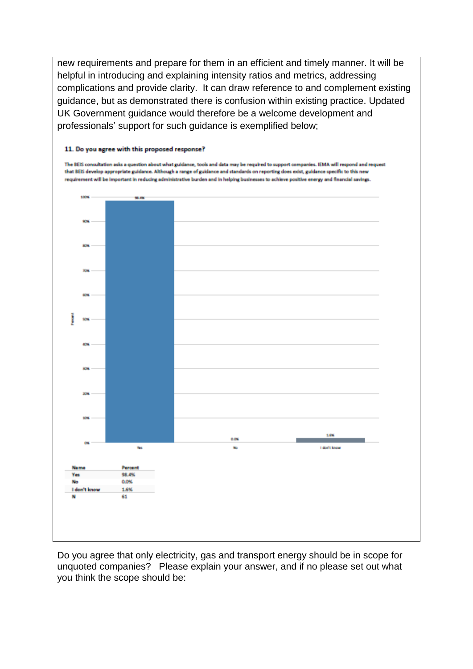new requirements and prepare for them in an efficient and timely manner. It will be helpful in introducing and explaining intensity ratios and metrics, addressing complications and provide clarity. It can draw reference to and complement existing guidance, but as demonstrated there is confusion within existing practice. Updated UK Government guidance would therefore be a welcome development and professionals' support for such guidance is exemplified below;

#### 11. Do you agree with this proposed response?

The BEIS consultation asks a question about what guidance, tools and data may be required to support companies. IEMA will respond and request that BEIS develop appropriate guidance. Although a range of guidance and standards on reporting does exist, guidance specific to this new requirement will be important in reducing administrative burden and in helping businesses to achieve positive energy and financial savings.



Do you agree that only electricity, gas and transport energy should be in scope for unquoted companies? Please explain your answer, and if no please set out what you think the scope should be: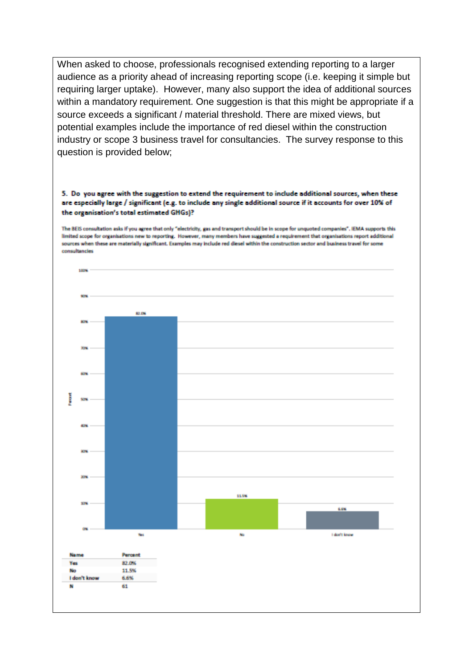When asked to choose, professionals recognised extending reporting to a larger audience as a priority ahead of increasing reporting scope (i.e. keeping it simple but requiring larger uptake). However, many also support the idea of additional sources within a mandatory requirement. One suggestion is that this might be appropriate if a source exceeds a significant / material threshold. There are mixed views, but potential examples include the importance of red diesel within the construction industry or scope 3 business travel for consultancies. The survey response to this question is provided below;

#### 5. Do you agree with the suggestion to extend the requirement to include additional sources, when these are especially large / significant (e.g. to include any single additional source if it accounts for over 10% of the organisation's total estimated GHGs)?

The BEIS consultation asks if you agree that only "electricity, gas and transport should be in scope for unquoted companies". IEMA supports this limited scope for organisations new to reporting. However, many members have suggested a requirement that organisations report additional sources when these are materially significant. Examples may include red diesel within the construction sector and business travel for some consultancies

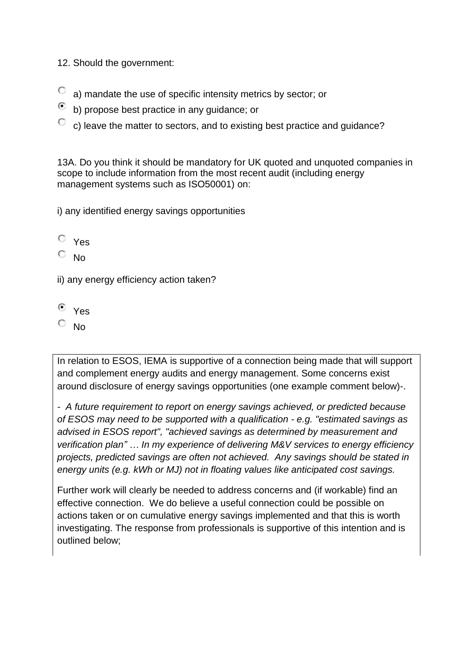12. Should the government:

- О a) mandate the use of specific intensity metrics by sector; or
- b) propose best practice in any guidance; or
- $\degree$  c) leave the matter to sectors, and to existing best practice and guidance?

13A. Do you think it should be mandatory for UK quoted and unquoted companies in scope to include information from the most recent audit (including energy management systems such as ISO50001) on:

i) any identified energy savings opportunities

 $\overline{C}$  Yes

No

ii) any energy efficiency action taken?

 $\odot$ Yes

 $\overline{\mathbb{C}}$  No.

In relation to ESOS, IEMA is supportive of a connection being made that will support and complement energy audits and energy management. Some concerns exist around disclosure of energy savings opportunities (one example comment below)-.

*- A future requirement to report on energy savings achieved, or predicted because of ESOS may need to be supported with a qualification - e.g. "estimated savings as advised in ESOS report", "achieved savings as determined by measurement and verification plan" … In my experience of delivering M&V services to energy efficiency projects, predicted savings are often not achieved. Any savings should be stated in energy units (e.g. kWh or MJ) not in floating values like anticipated cost savings.*

Further work will clearly be needed to address concerns and (if workable) find an effective connection. We do believe a useful connection could be possible on actions taken or on cumulative energy savings implemented and that this is worth investigating. The response from professionals is supportive of this intention and is outlined below;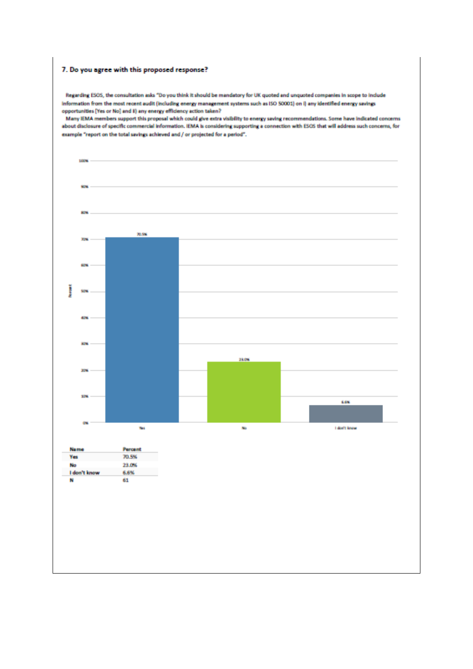#### 7. Do you agree with this proposed response?

Regarding ESOS, the consultation asks "Do you think it should be mandatory for UK quoted and unquoted companies in scope to include information from the most recent audit (including energy management systems such as ISO 50001) on i) any identified energy savings opportunities [Yes or No] and II) any energy efficiency action taken?

Many IEMA members support this proposal which could give extra visibility to energy saving recommendations. Some have indicated concerns about disclosure of specific commercial information. IEMA is considering supporting a connection with ESOS that will address such concerns, for example "report on the total savings achieved and / or projected for a period".

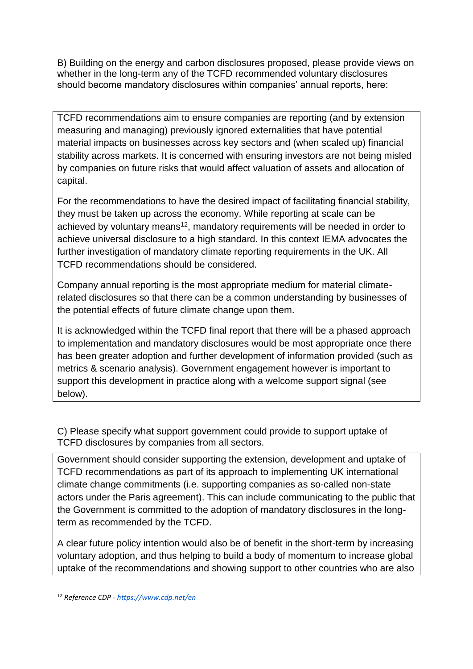B) Building on the energy and carbon disclosures proposed, please provide views on whether in the long-term any of the TCFD recommended voluntary disclosures should become mandatory disclosures within companies' annual reports, here:

TCFD recommendations aim to ensure companies are reporting (and by extension measuring and managing) previously ignored externalities that have potential material impacts on businesses across key sectors and (when scaled up) financial stability across markets. It is concerned with ensuring investors are not being misled by companies on future risks that would affect valuation of assets and allocation of capital.

For the recommendations to have the desired impact of facilitating financial stability, they must be taken up across the economy. While reporting at scale can be achieved by voluntary means<sup>12</sup>, mandatory requirements will be needed in order to achieve universal disclosure to a high standard. In this context IEMA advocates the further investigation of mandatory climate reporting requirements in the UK. All TCFD recommendations should be considered.

Company annual reporting is the most appropriate medium for material climaterelated disclosures so that there can be a common understanding by businesses of the potential effects of future climate change upon them.

It is acknowledged within the TCFD final report that there will be a phased approach to implementation and mandatory disclosures would be most appropriate once there has been greater adoption and further development of information provided (such as metrics & scenario analysis). Government engagement however is important to support this development in practice along with a welcome support signal (see below).

C) Please specify what support government could provide to support uptake of TCFD disclosures by companies from all sectors.

Government should consider supporting the extension, development and uptake of TCFD recommendations as part of its approach to implementing UK international climate change commitments (i.e. supporting companies as so-called non-state actors under the Paris agreement). This can include communicating to the public that the Government is committed to the adoption of mandatory disclosures in the longterm as recommended by the TCFD.

A clear future policy intention would also be of benefit in the short-term by increasing voluntary adoption, and thus helping to build a body of momentum to increase global uptake of the recommendations and showing support to other countries who are also

*<sup>12</sup> Reference CDP - <https://www.cdp.net/en>*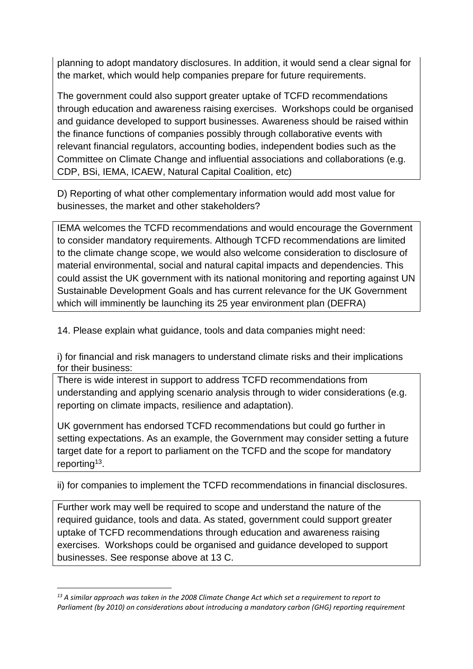planning to adopt mandatory disclosures. In addition, it would send a clear signal for the market, which would help companies prepare for future requirements.

The government could also support greater uptake of TCFD recommendations through education and awareness raising exercises. Workshops could be organised and guidance developed to support businesses. Awareness should be raised within the finance functions of companies possibly through collaborative events with relevant financial regulators, accounting bodies, independent bodies such as the Committee on Climate Change and influential associations and collaborations (e.g. CDP, BSi, IEMA, ICAEW, Natural Capital Coalition, etc)

D) Reporting of what other complementary information would add most value for businesses, the market and other stakeholders?

IEMA welcomes the TCFD recommendations and would encourage the Government to consider mandatory requirements. Although TCFD recommendations are limited to the climate change scope, we would also welcome consideration to disclosure of material environmental, social and natural capital impacts and dependencies. This could assist the UK government with its national monitoring and reporting against UN Sustainable Development Goals and has current relevance for the UK Government which will imminently be launching its 25 year environment plan (DEFRA)

14. Please explain what guidance, tools and data companies might need:

i) for financial and risk managers to understand climate risks and their implications for their business:

There is wide interest in support to address TCFD recommendations from understanding and applying scenario analysis through to wider considerations (e.g. reporting on climate impacts, resilience and adaptation).

UK government has endorsed TCFD recommendations but could go further in setting expectations. As an example, the Government may consider setting a future target date for a report to parliament on the TCFD and the scope for mandatory reporting<sup>13</sup>.

ii) for companies to implement the TCFD recommendations in financial disclosures.

Further work may well be required to scope and understand the nature of the required guidance, tools and data. As stated, government could support greater uptake of TCFD recommendations through education and awareness raising exercises. Workshops could be organised and guidance developed to support businesses. See response above at 13 C.

*<sup>13</sup> A similar approach was taken in the 2008 Climate Change Act which set a requirement to report to Parliament (by 2010) on considerations about introducing a mandatory carbon (GHG) reporting requirement*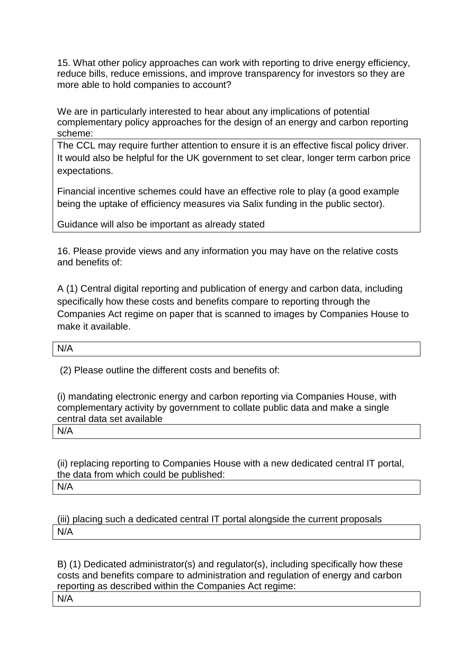15. What other policy approaches can work with reporting to drive energy efficiency, reduce bills, reduce emissions, and improve transparency for investors so they are more able to hold companies to account?

We are in particularly interested to hear about any implications of potential complementary policy approaches for the design of an energy and carbon reporting scheme:

The CCL may require further attention to ensure it is an effective fiscal policy driver. It would also be helpful for the UK government to set clear, longer term carbon price expectations.

Financial incentive schemes could have an effective role to play (a good example being the uptake of efficiency measures via Salix funding in the public sector).

Guidance will also be important as already stated

16. Please provide views and any information you may have on the relative costs and benefits of:

A (1) Central digital reporting and publication of energy and carbon data, including specifically how these costs and benefits compare to reporting through the Companies Act regime on paper that is scanned to images by Companies House to make it available.

N/A

(2) Please outline the different costs and benefits of:

(i) mandating electronic energy and carbon reporting via Companies House, with complementary activity by government to collate public data and make a single central data set available

N/A

(ii) replacing reporting to Companies House with a new dedicated central IT portal, the data from which could be published: N/A

(iii) placing such a dedicated central IT portal alongside the current proposals N/A

B) (1) Dedicated administrator(s) and regulator(s), including specifically how these costs and benefits compare to administration and regulation of energy and carbon reporting as described within the Companies Act regime:

N/A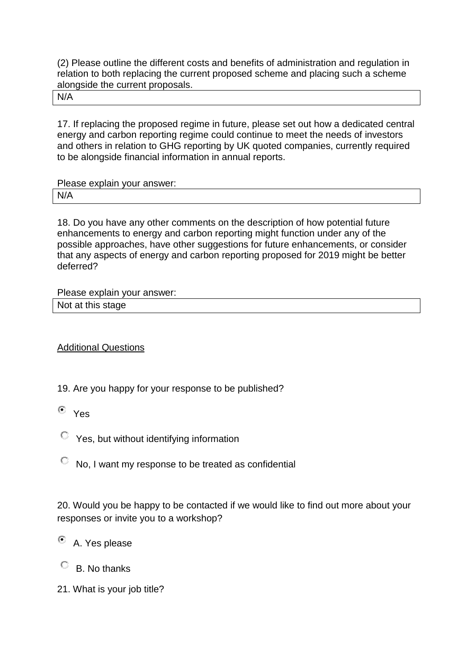(2) Please outline the different costs and benefits of administration and regulation in relation to both replacing the current proposed scheme and placing such a scheme alongside the current proposals.

N/A

17. If replacing the proposed regime in future, please set out how a dedicated central energy and carbon reporting regime could continue to meet the needs of investors and others in relation to GHG reporting by UK quoted companies, currently required to be alongside financial information in annual reports.

Please explain your answer:

N/A

18. Do you have any other comments on the description of how potential future enhancements to energy and carbon reporting might function under any of the possible approaches, have other suggestions for future enhancements, or consider that any aspects of energy and carbon reporting proposed for 2019 might be better deferred?

Please explain your answer:

|  |  |  | Not at this stage |
|--|--|--|-------------------|
|--|--|--|-------------------|

Additional Questions

- 19. Are you happy for your response to be published?
- Yes
- Yes, but without identifying information
- No, I want my response to be treated as confidential

20. Would you be happy to be contacted if we would like to find out more about your responses or invite you to a workshop?

- A. Yes please
- $\circ$  B. No thanks
- 21. What is your job title?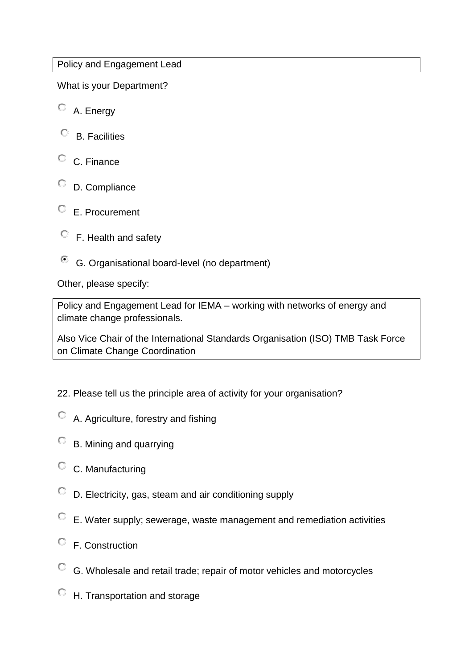# Policy and Engagement Lead

What is your Department?

- A. Energy
- $\circ$  B. Facilities
- C. Finance
- D. Compliance
- E. Procurement
- $\circ$  F. Health and safety
- G. Organisational board-level (no department)

Other, please specify:

Policy and Engagement Lead for IEMA – working with networks of energy and climate change professionals.

Also Vice Chair of the International Standards Organisation (ISO) TMB Task Force on Climate Change Coordination

22. Please tell us the principle area of activity for your organisation?

- A. Agriculture, forestry and fishing
- B. Mining and quarrying
- C. Manufacturing
- D. Electricity, gas, steam and air conditioning supply
- E. Water supply; sewerage, waste management and remediation activities
- $\circ$  F. Construction
- G. Wholesale and retail trade; repair of motor vehicles and motorcycles
- H. Transportation and storage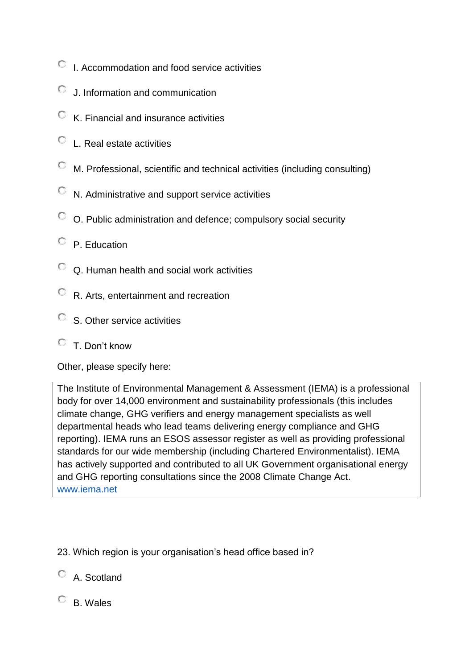- $\degree$  I. Accommodation and food service activities
- J. Information and communication
- $\heartsuit$  K. Financial and insurance activities
- $\degree$  L. Real estate activities
- M. Professional, scientific and technical activities (including consulting)
- $\heartsuit$  N. Administrative and support service activities
- O. Public administration and defence; compulsory social security
- P. Education
- $\degree$  Q. Human health and social work activities
- R. Arts, entertainment and recreation
- $\circ$  S. Other service activities

# T. Don't know

Other, please specify here:

The Institute of Environmental Management & Assessment (IEMA) is a professional body for over 14,000 environment and sustainability professionals (this includes climate change, GHG verifiers and energy management specialists as well departmental heads who lead teams delivering energy compliance and GHG reporting). IEMA runs an ESOS assessor register as well as providing professional standards for our wide membership (including Chartered Environmentalist). IEMA has actively supported and contributed to all UK Government organisational energy and GHG reporting consultations since the 2008 Climate Change Act. [www.iema.net](http://www.iema.net/)

- 23. Which region is your organisation's head office based in?
- A. Scotland
- B. Wales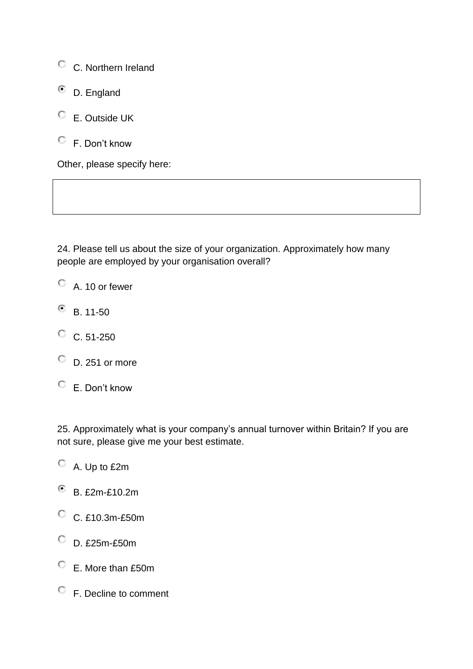C. Northern Ireland

- D. England €
- E. Outside UK
- F. Don't know

Other, please specify here:

24. Please tell us about the size of your organization. Approximately how many people are employed by your organisation overall?

- $\circ$  A. 10 or fewer
- $\bullet$  B. 11-50
- $C. 51-250$
- $\degree$  D. 251 or more
- E. Don't know

25. Approximately what is your company's annual turnover within Britain? If you are not sure, please give me your best estimate.

- A. Up to £2m
- B. £2m-£10.2m
- C. £10.3m-£50m
- D. £25m-£50m
- E. More than £50m
- F. Decline to comment